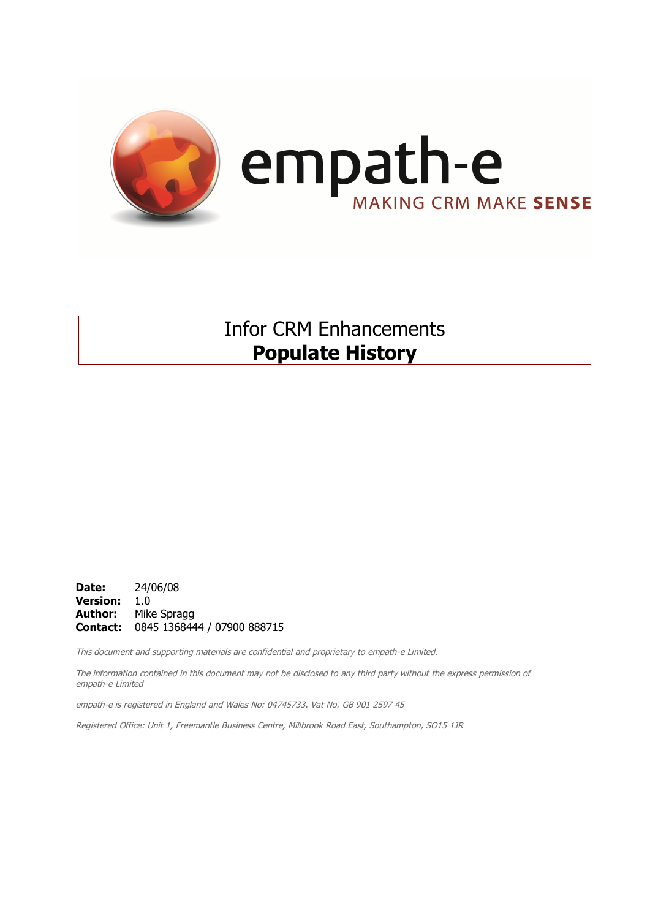

Infor CRM Enhancements **Populate History**

**Date:** 24/06/08 **Version:** 1.0 **Author:** Mike Spragg **Contact:** 0845 1368444 / 07900 888715

This document and supporting materials are confidential and proprietary to empath-e Limited.

The information contained in this document may not be disclosed to any third party without the express permission of empath-e Limited

empath-e is registered in England and Wales No: 04745733. Vat No. GB 901 2597 45

Registered Office: Unit 1, Freemantle Business Centre, Millbrook Road East, Southampton, SO15 1JR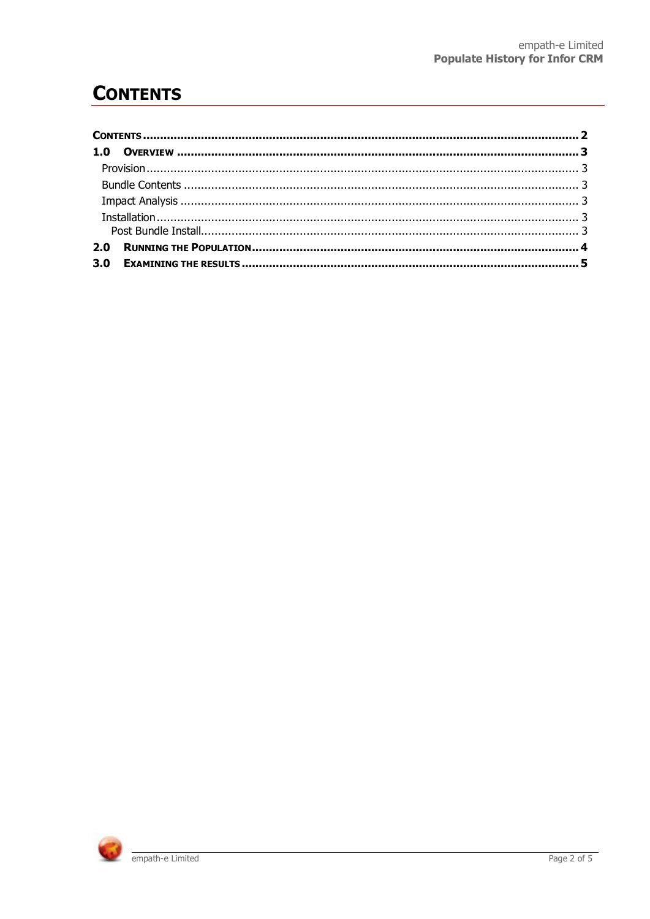# **CONTENTS**

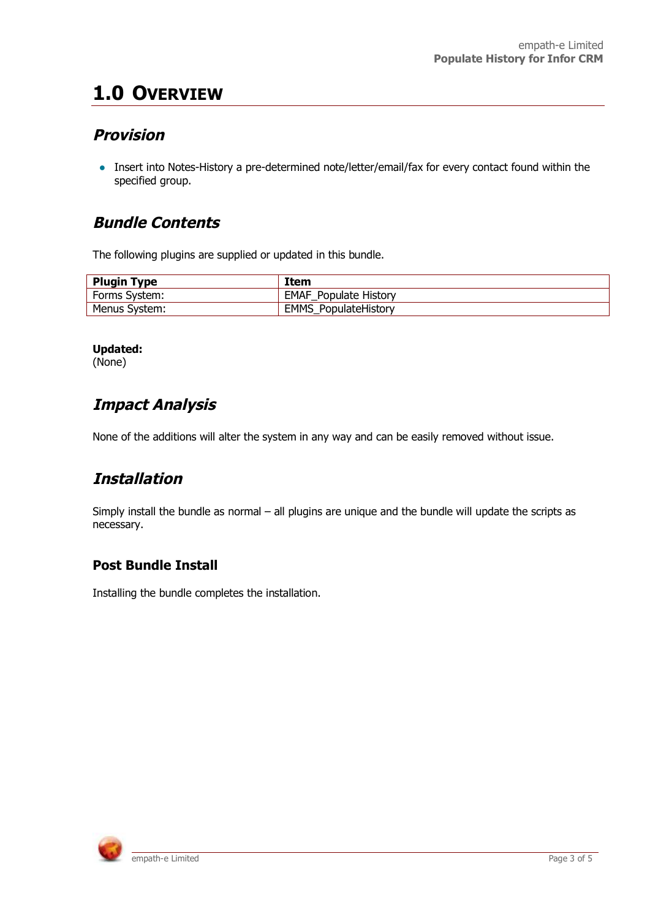# **1.0 OVERVIEW**

### **Provision**

• Insert into Notes-History a pre-determined note/letter/email/fax for every contact found within the specified group.

#### **Bundle Contents**

The following plugins are supplied or updated in this bundle.

| <b>Plugin Type</b> | Item                         |  |  |
|--------------------|------------------------------|--|--|
| Forms System:      | <b>EMAF Populate History</b> |  |  |
| Menus System:      | <b>EMMS PopulateHistory</b>  |  |  |

#### **Updated:**

(None)

## **Impact Analysis**

None of the additions will alter the system in any way and can be easily removed without issue.

## **Installation**

Simply install the bundle as normal – all plugins are unique and the bundle will update the scripts as necessary.

#### **Post Bundle Install**

Installing the bundle completes the installation.

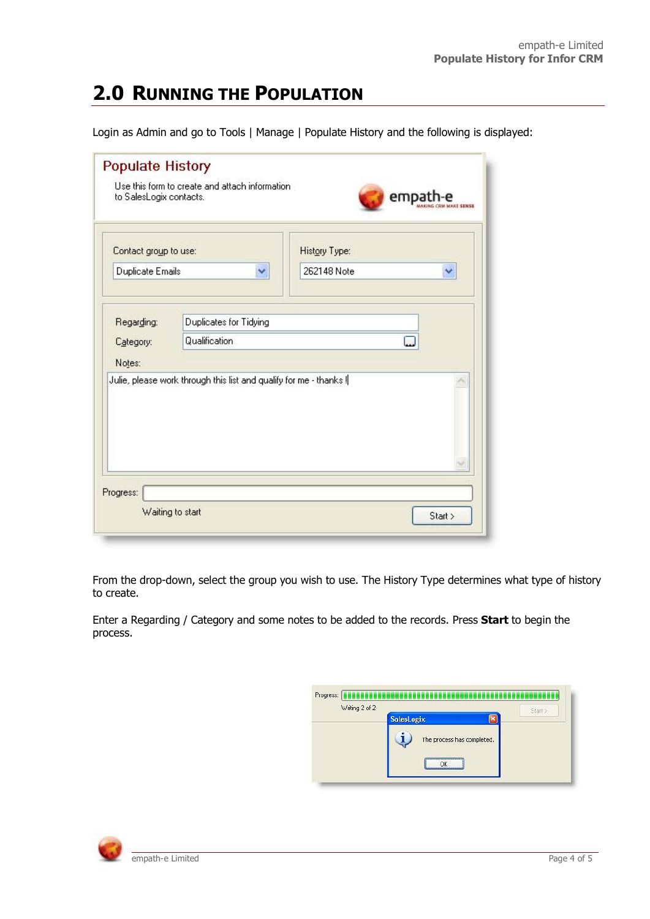# **2.0 RUNNING THE POPULATION**

Login as Admin and go to Tools | Manage | Populate History and the following is displayed:

| Contact group to use: |                                                                    | History Type: |   |  |
|-----------------------|--------------------------------------------------------------------|---------------|---|--|
| Duplicate Emails      | ×                                                                  | 262148 Note   | ₩ |  |
|                       |                                                                    |               |   |  |
| Regarding:            | Duplicates for Tidying                                             |               |   |  |
| Category:             | Qualification<br>ц.                                                |               |   |  |
|                       |                                                                    |               |   |  |
|                       |                                                                    |               |   |  |
|                       | Julie, please work through this list and qualify for me - thanks ! |               |   |  |
| Notes:                |                                                                    |               |   |  |
|                       |                                                                    |               |   |  |

From the drop-down, select the group you wish to use. The History Type determines what type of history to create.

Enter a Regarding / Category and some notes to be added to the records. Press **Start** to begin the process.

| Writing 2 of 2 |                            | Start > |
|----------------|----------------------------|---------|
|                | <b>SalesLogix</b>          |         |
|                | The process has completed. |         |
|                |                            |         |
|                | ΛK                         |         |